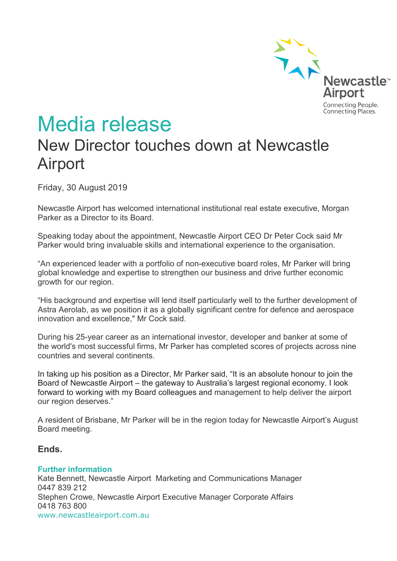

# Media release New Director touches down at Newcastle Airport

Friday, 30 August 2019

Newcastle Airport has welcomed international institutional real estate executive, Morgan Parker as a Director to its Board.

Speaking today about the appointment, Newcastle Airport CEO Dr Peter Cock said Mr Parker would bring invaluable skills and international experience to the organisation.

"An experienced leader with a portfolio of non-executive board roles, Mr Parker will bring global knowledge and expertise to strengthen our business and drive further economic growth for our region.

"His background and expertise will lend itself particularly well to the further development of Astra Aerolab, as we position it as a globally significant centre for defence and aerospace innovation and excellence," Mr Cock said.

During his 25-year career as an international investor, developer and banker at some of the world's most successful firms, Mr Parker has completed scores of projects across nine countries and several continents.

In taking up his position as a Director, Mr Parker said, "It is an absolute honour to join the Board of Newcastle Airport – the gateway to Australia's largest regional economy. I look forward to working with my Board colleagues and management to help deliver the airport our region deserves."

A resident of Brisbane, Mr Parker will be in the region today for Newcastle Airport's August Board meeting.

#### **Ends.**

#### **Further information**

Kate Bennett, Newcastle Airport Marketing and Communications Manager 0447 839 212 Stephen Crowe, Newcastle Airport Executive Manager Corporate Affairs 0418 763 800 www.newcastleairport.com.au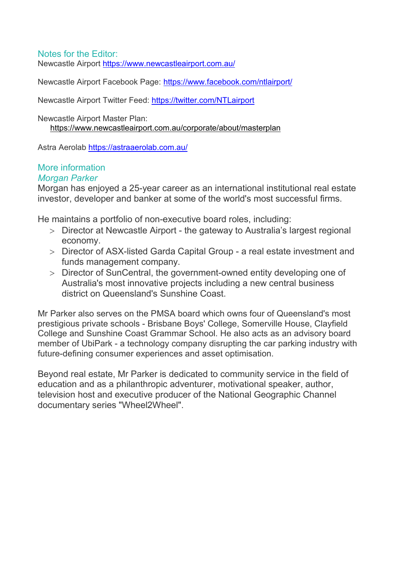### Notes for the Editor:

Newcastle Airport <https://www.newcastleairport.com.au/>

Newcastle Airport Facebook Page: <https://www.facebook.com/ntlairport/>

Newcastle Airport Twitter Feed: <https://twitter.com/NTLairport>

Newcastle Airport Master Plan: <https://www.newcastleairport.com.au/corporate/about/masterplan>

Astra Aerolab <https://astraaerolab.com.au/>

#### More information *Morgan Parker*

Morgan has enjoyed a 25-year career as an international institutional real estate investor, developer and banker at some of the world's most successful firms.

He maintains a portfolio of non-executive board roles, including:

- > Director at Newcastle Airport the gateway to Australia's largest regional economy.
- > Director of ASX-listed Garda Capital Group a real estate investment and funds management company.
- > Director of SunCentral, the government-owned entity developing one of Australia's most innovative projects including a new central business district on Queensland's Sunshine Coast.

Mr Parker also serves on the PMSA board which owns four of Queensland's most prestigious private schools - Brisbane Boys' College, Somerville House, Clayfield College and Sunshine Coast Grammar School. He also acts as an advisory board member of UbiPark - a technology company disrupting the car parking industry with future-defining consumer experiences and asset optimisation.

Beyond real estate, Mr Parker is dedicated to community service in the field of education and as a philanthropic adventurer, motivational speaker, author, television host and executive producer of the National Geographic Channel documentary series "Wheel2Wheel".